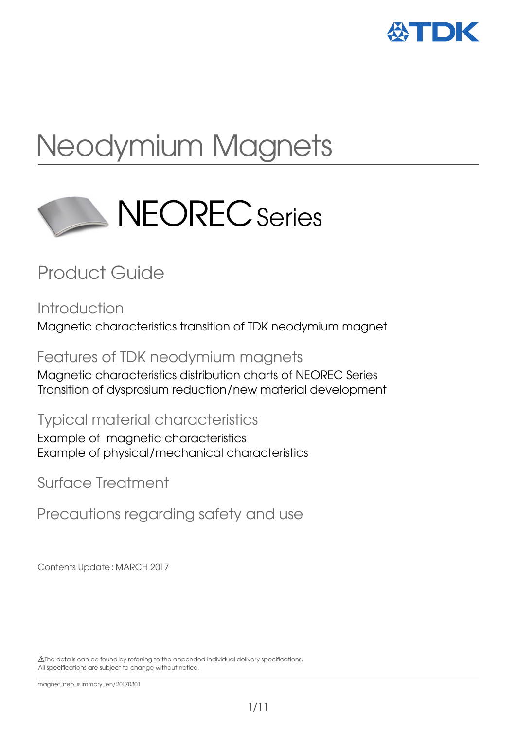

# Neodymium Magnets



## Product Guide

**Introduction** Magnetic characteristics transition of TDK neodymium magnet

Features of TDK neodymium magnets

Magnetic characteristics distribution charts of NEOREC Series Transition of dysprosium reduction/new material development

Typical material characteristics

Example of magnetic characteristics Example of physical/mechanical characteristics

Surface Treatment

Precautions regarding safety and use

Contents Update : MARCH 2017

 The details can be found by referring to the appended individual delivery specifications. All specifications are subject to change without notice.

magnet\_neo\_summary\_en/20170301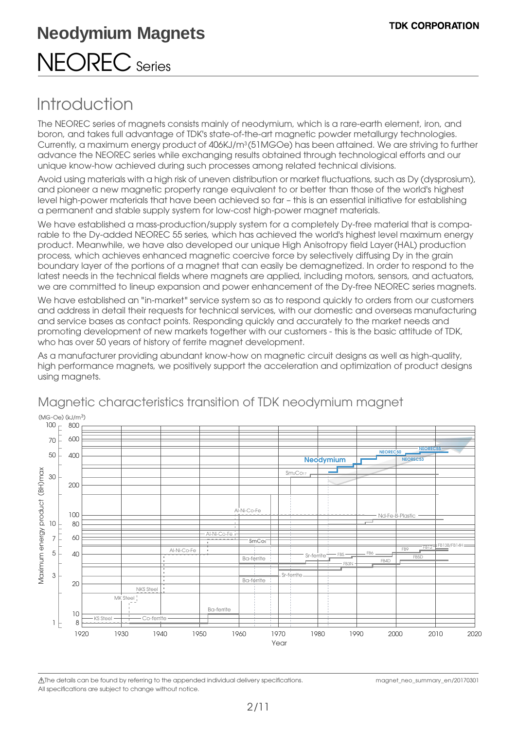### Introduction

The NEOREC series of magnets consists mainly of neodymium, which is a rare-earth element, iron, and boron, and takes full advantage of TDK's state-of-the-art magnetic powder metallurgy technologies. Currently, a maximum energy product of 406KJ/m3 (51MGOe) has been attained. We are striving to further advance the NEOREC series while exchanging results obtained through technological efforts and our unique know-how achieved during such processes among related technical divisions.

Avoid using materials with a high risk of uneven distribution or market fluctuations, such as Dy (dysprosium), and pioneer a new magnetic property range equivalent to or better than those of the world's highest level high-power materials that have been achieved so far – this is an essential initiative for establishing a permanent and stable supply system for low-cost high-power magnet materials.

We have established a mass-production/supply system for a completely Dy-free material that is comparable to the Dy-added NEOREC 55 series, which has achieved the world's highest level maximum energy product. Meanwhile, we have also developed our unique High Anisotropy field Layer(HAL) production process, which achieves enhanced magnetic coercive force by selectively diffusing Dy in the grain boundary layer of the portions of a magnet that can easily be demagnetized. In order to respond to the latest needs in the technical fields where magnets are applied, including motors, sensors, and actuators, we are committed to lineup expansion and power enhancement of the Dy-free NEOREC series magnets.

We have established an "in-market" service system so as to respond quickly to orders from our customers and address in detail their requests for technical services, with our domestic and overseas manufacturing and service bases as contact points. Responding quickly and accurately to the market needs and promoting development of new markets together with our customers - this is the basic attitude of TDK, who has over 50 years of history of ferrite magnet development.

As a manufacturer providing abundant know-how on magnetic circuit designs as well as high-quality, high performance magnets, we positively support the acceleration and optimization of product designs using magnets.



### Magnetic characteristics transition of TDK neodymium magnet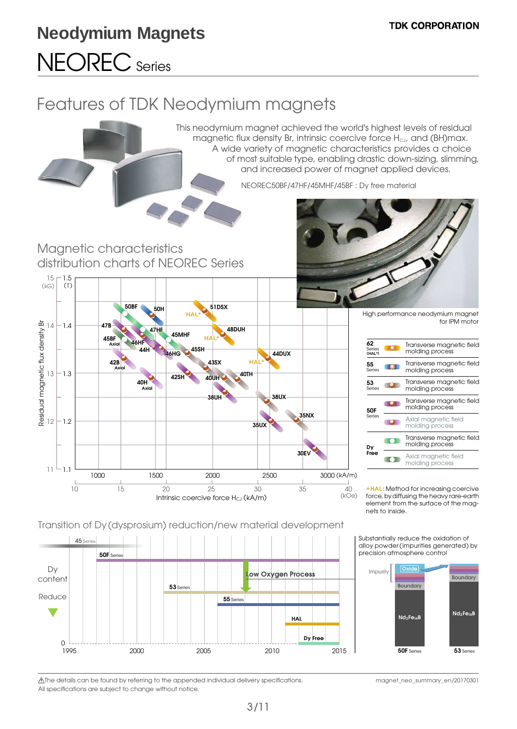Residual magnetic flux density Br

Residual magnetic flux density Br

## Features of TDK Neodymium magnets

This neodymium magnet achieved the world's highest levels of residual magnetic flux density Br, intrinsic coercive force  $H_{cJ}$ , and (BH)max. A wide variety of magnetic characteristics provides a choice of most suitable type, enabling drastic down-sizing, slimming, and increased power of magnet applied devices. NEOREC50BF/47HF/45MHF/45BF : Dy free material Magnetic characteristics distribution charts of NEOREC Series 15 1.5  $(kG)$  (T) **50BF 51DSX 50H HAL\*** High performance neodymium magnet for IPM motor **47B**  $14 - 1.4$ **47HF 48DUH 45MHF 45BF HAL\* 46HF 62 Axial** Transverse magnetic field **44H 44DUX 45SH** Series **(HAL\*)** molding process **46HG 42B HAL\* 43SX 55** Transverse magnetic field molding process  $\blacksquare$  **Axial** Series  $13 - 1.3$ **40TH 42SH 40UH 40H** Transverse magnetic field **53** Series **IO Axial** molding process **38UH 38UX** Transverse magnetic field **IOT** molding process **50F 35NX** Series Axial magnetic field molding process 12  $-1.2$ **O 35UX** Transverse magnetic field m molding process **Dy Free 30EV** Axial magnetic field **IOD** molding process 11 1.1 3000 (kA/m) 1000 1500 2000 2500 3000 10 15 20 25 30 35 40 (kOe) Intrinsic coercive force  $H_{CJ}$  (kA/m)

\***HAL** : Method for increasing coercive force, by diffusing the heavy rare-earth element from the surface of the magnets to inside.

Transition of Dy (dysprosium) reduction/new material development



Substantially reduce the oxidation of alloy powder(impurities generated) by precision atmosphere control

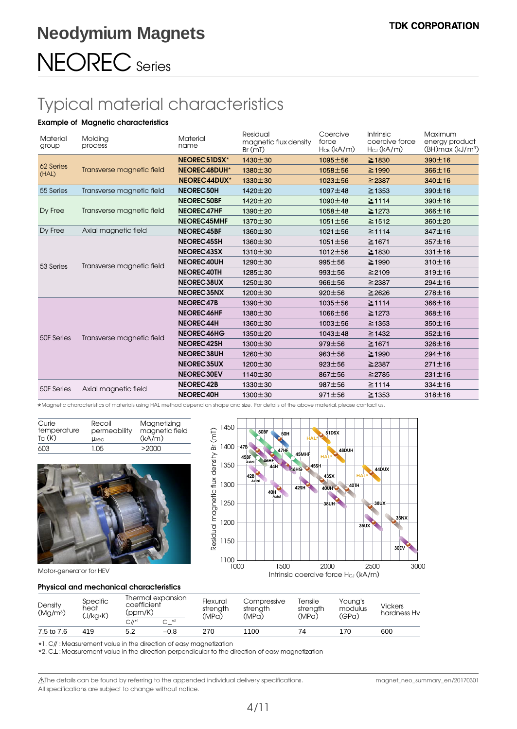## Typical material characteristics

#### **Example of Magnetic characteristics**

| <b>Material</b><br>group | Molding<br>process        | Material<br>name  | Residual<br>magnetic flux density<br>Br(mD) | Coercive<br>force<br>$H_{CB}$ (kA/m) | Intrinsic<br>coercive force<br>$H_{CJ}$ (kA/m) | Maximum<br>energy product<br>$(BH)$ max $(kJ/m3)$ |
|--------------------------|---------------------------|-------------------|---------------------------------------------|--------------------------------------|------------------------------------------------|---------------------------------------------------|
| 62 Series<br>(HAL)       | Transverse magnetic field | NEOREC51DSX*      | $1430 \pm 30$                               | $1095 \pm 56$                        | $\geq 1830$                                    | 390±16                                            |
|                          |                           | NEOREC48DUH*      | 1380±30                                     | 1058±56                              | $\geq$ 1990                                    | 366±16                                            |
|                          |                           | NEOREC44DUX*      | $1330 \pm 30$                               | $1023 \pm 56$                        | $\geq$ 2387                                    | 340±16                                            |
| 55 Series                | Transverse magnetic field | NEOREC50H         | $1420 \pm 20$                               | $1097 + 48$                          | $\geq$ 1353                                    | 390±16                                            |
|                          | Transverse magnetic field | NEOREC50BF        | 1420±20                                     | 1090±48                              | $\geq$ 1114                                    | 390±16                                            |
| Dy Free                  |                           | <b>NEOREC47HF</b> | 1390 ± 20                                   | 1058±48                              | $\geq$ 1273                                    | 366±16                                            |
|                          |                           | NEOREC45MHF       | $1370 + 30$                                 | 1051±56                              | $\geq$ 1512                                    | $360 + 20$                                        |
| Dy Free                  | Axial magnetic field      | NEOREC45BF        | 1360 ± 30                                   | $1021 \pm 56$                        | $\geq$ 1114                                    | 347±16                                            |
|                          | Transverse magnetic field | <b>NEOREC45SH</b> | $1360 \pm 30$                               | $1051 \pm 56$                        | $\geq$ 1671                                    | 357±16                                            |
|                          |                           | NEOREC43SX        | 1310 ± 30                                   | 1012±56                              | $\geq$ 1830                                    | 331±16                                            |
| 53 Series                |                           | <b>NEOREC40UH</b> | $1290 \pm 30$                               | 995±56                               | $\geq$ 1990                                    | 310±16                                            |
|                          |                           | NEOREC40TH        | $1285 \pm 30$                               | $993 \pm 56$                         | $\geq$ 2109                                    | 319±16                                            |
|                          |                           | NEOREC38UX        | $1250 \pm 30$                               | $966 \pm 56$                         | $\geq$ 2387                                    | 294±16                                            |
|                          |                           | NEOREC35NX        | $1200 \pm 30$                               | $920 \pm 56$                         | $\geq$ 2626                                    | 278±16                                            |
|                          | Transverse magnetic field | NEOREC47B         | $1390 \pm 30$                               | 1035±56                              | $\geq$ 1114                                    | $366 \pm 16$                                      |
|                          |                           | NEOREC46HF        | 1380 ± 30                                   | 1066±56                              | $\geq$ 1273                                    | $368 + 16$                                        |
|                          |                           | <b>NEOREC44H</b>  | 1360±30                                     | $1003 + 56$                          | $\geq$ 1353                                    | 350±16                                            |
|                          |                           | NEOREC46HG        | $1350 \pm 20$                               | $1043 \pm 48$                        | $\geq$ 1432                                    | $352 \pm 16$                                      |
| 50F Series               |                           | <b>NEOREC42SH</b> | 1300 ± 30                                   | 979±56                               | $≥$ 1671                                       | 326±16                                            |
|                          |                           | <b>NEOREC38UH</b> | $1260 \pm 30$                               | $963 + 56$                           | $\geq$ 1990                                    | 294±16                                            |
|                          |                           | NEOREC35UX        | $1200 \pm 30$                               | $923 \pm 56$                         | $\geq$ 2387                                    | 271±16                                            |
|                          |                           | <b>NEOREC30EV</b> | 1140±30                                     | 867±56                               | $\geq$ 2785                                    | $231 \pm 16$                                      |
| 50F Series               | Axial magnetic field      | <b>NEOREC42B</b>  | 1330 ± 30                                   | $987 + 56$                           | $\geq$ 1114                                    | 334±16                                            |
|                          |                           | NEOREC40H         | $1300 \pm 30$                               | $971 \pm 56$                         | $\geq$ 1353                                    | 318±16                                            |

\*Magnetic characteristics of materials using HAL method depend on shape and size. For details of the above material, please contact us.

| Curie              | Recoil       | Magnetizing    |
|--------------------|--------------|----------------|
| temperature        | permeability | magnetic field |
| T <sub>C</sub> (K) | $\mu$ rec    | (kA/m)         |
| 603                | 1.05         | >2000          |





#### Motor-generator for HEV

#### **Physical and mechanical characteristics**

| Density<br>(Mg/m <sup>3</sup> ) | Specific<br>heat<br>(J/kg•K) |             | Thermal expansion<br>coefficient<br>(ppm/K) |       | Compressive<br>strenath<br>(MPa) | Tensile<br>strength<br>(MPa) | Youna's<br>modulus<br>(GPa) | <b>Vickers</b><br>hardness Hv |
|---------------------------------|------------------------------|-------------|---------------------------------------------|-------|----------------------------------|------------------------------|-----------------------------|-------------------------------|
|                                 |                              | $C II^{*1}$ | $C ^{*2}$                                   | (MPa) |                                  |                              |                             |                               |
| 7.5 to 7.6                      | 419                          |             | $-0.8$                                      | 270   | 1100                             | 74                           | 170                         | 600                           |

\*1. C// :Measurement value in the direction of easy magnetization

\*2. C $\perp$ : Measurement value in the direction perpendicular to the direction of easy magnetization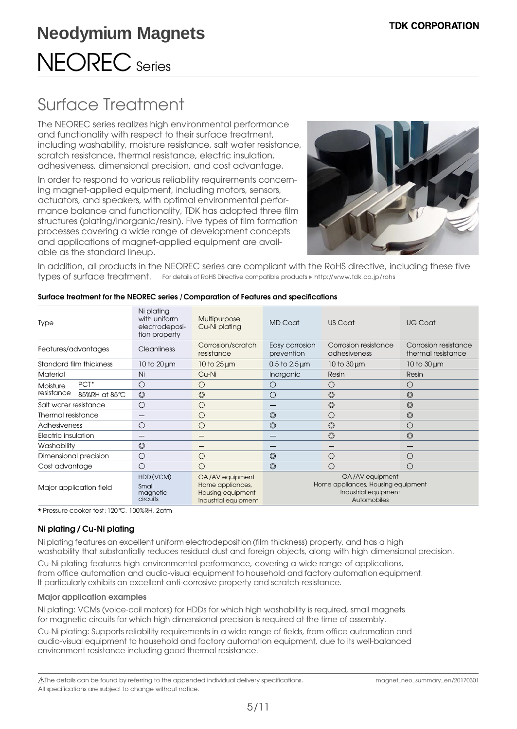## Surface Treatment

The NEOREC series realizes high environmental performance and functionality with respect to their surface treatment, including washability, moisture resistance, salt water resistance, scratch resistance, thermal resistance, electric insulation, adhesiveness, dimensional precision, and cost advantage.

In order to respond to various reliability requirements concerning magnet-applied equipment, including motors, sensors, actuators, and speakers, with optimal environmental performance balance and functionality, TDK has adopted three film structures (plating/inorganic/resin). Five types of film formation processes covering a wide range of development concepts and applications of magnet-applied equipment are available as the standard lineup.



In addition, all products in the NEOREC series are compliant with the RoHS directive, including these five types of surface treatment. For details of RoHS Directive compatible products http://www.tdk.co.jp/rohs

| <b>Type</b>             |                  | Ni plating<br>with uniform<br>electrodeposi-<br>tion property | Multipurpose<br>Cu-Ni plating                                                    | <b>MD Coat</b>                                                                               | US Coat                              | <b>UG Coat</b>                             |
|-------------------------|------------------|---------------------------------------------------------------|----------------------------------------------------------------------------------|----------------------------------------------------------------------------------------------|--------------------------------------|--------------------------------------------|
| Features/advantages     |                  | Cleanliness                                                   | Corrosion/scratch<br>resistance                                                  | Easy corrosion<br>prevention                                                                 | Corrosion resistance<br>adhesiveness | Corrosion resistance<br>thermal resistance |
| Standard film thickness |                  | 10 to $20 \mu m$                                              | 10 to $25 \mu m$                                                                 | $0.5$ to $2.5 \,\mathrm{\upmu m}$                                                            | $10$ to $30 \mu m$                   | $10$ to $30 \mu m$                         |
| <b>Material</b>         |                  | Ni                                                            | Cu-Ni                                                                            | Inorganic                                                                                    | Resin                                | Resin                                      |
| Moisture<br>resistance  | PCT <sup>*</sup> | C                                                             | ( )                                                                              | ()                                                                                           | ( )                                  | $\left(\right)$                            |
|                         | 85%RH at 85°C    | $\circledcirc$                                                | $\circledcirc$                                                                   | ∩                                                                                            | $\circledcirc$                       | $\circledcirc$                             |
| Salt water resistance   |                  | ⊖                                                             | $\left( \quad \right)$                                                           |                                                                                              | $\circledcirc$                       | $\circledcirc$                             |
| Thermal resistance      |                  |                                                               | ()                                                                               | $\circledcirc$                                                                               | ( )                                  | $\circledcirc$                             |
| Adhesiveness            |                  | ⊖                                                             |                                                                                  | $\circledcirc$                                                                               | $\circledcirc$                       | О.                                         |
| Electric insulation     |                  |                                                               |                                                                                  |                                                                                              | $\circledcirc$                       | $\circledcirc$                             |
| Washability             |                  | $\circledcirc$                                                |                                                                                  |                                                                                              |                                      |                                            |
| Dimensional precision   |                  | C                                                             | ( )                                                                              | $\circledcirc$                                                                               | ( )                                  | ( )                                        |
| Cost advantage          |                  | €                                                             | ( )                                                                              | $\circledcirc$                                                                               | ∩                                    | ( )                                        |
| Major application field |                  | HDD(VCM)<br>Small<br>magnetic<br>circuits                     | OA/AV equipment<br>Home appliances,<br>Housing equipment<br>Industrial equipment | OA/AV equipment<br>Home appliances, Housing equipment<br>Industrial equipment<br>Automobiles |                                      |                                            |

#### **Surface treatment for the NEOREC series / Comparation of Features and specifications**

\* Pressure cooker test:120°C, 100%RH, 2atm

#### **Ni plating / Cu-Ni plating**

Ni plating features an excellent uniform electrodeposition (film thickness) property, and has a high washability that substantially reduces residual dust and foreign objects, along with high dimensional precision.

Cu-Ni plating features high environmental performance, covering a wide range of applications, from office automation and audio-visual equipment to household and factory automation equipment. It particularly exhibits an excellent anti-corrosive property and scratch-resistance.

#### **Major application examples**

Ni plating: VCMs (voice-coil motors) for HDDs for which high washability is required, small magnets for magnetic circuits for which high dimensional precision is required at the time of assembly. Cu-Ni plating: Supports reliability requirements in a wide range of fields, from office automation and audio-visual equipment to household and factory automation equipment, due to its well-balanced environment resistance including good thermal resistance.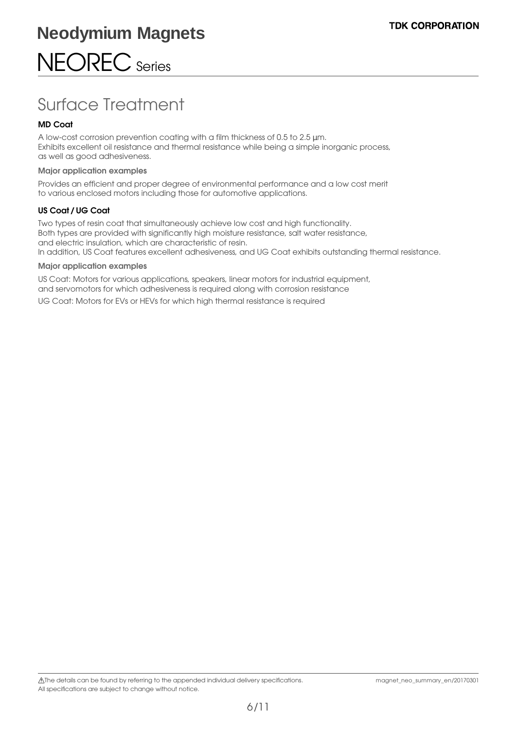## Surface Treatment

#### **MD Coat**

A low-cost corrosion prevention coating with a film thickness of 0.5 to 2.5 µm. Exhibits excellent oil resistance and thermal resistance while being a simple inorganic process, as well as good adhesiveness.

#### **Major application examples**

Provides an efficient and proper degree of environmental performance and a low cost merit to various enclosed motors including those for automotive applications.

#### **US Coat / UG Coat**

Two types of resin coat that simultaneously achieve low cost and high functionality. Both types are provided with significantly high moisture resistance, salt water resistance, and electric insulation, which are characteristic of resin. In addition, US Coat features excellent adhesiveness, and UG Coat exhibits outstanding thermal resistance.

#### **Major application examples**

US Coat: Motors for various applications, speakers, linear motors for industrial equipment, and servomotors for which adhesiveness is required along with corrosion resistance UG Coat: Motors for EVs or HEVs for which high thermal resistance is required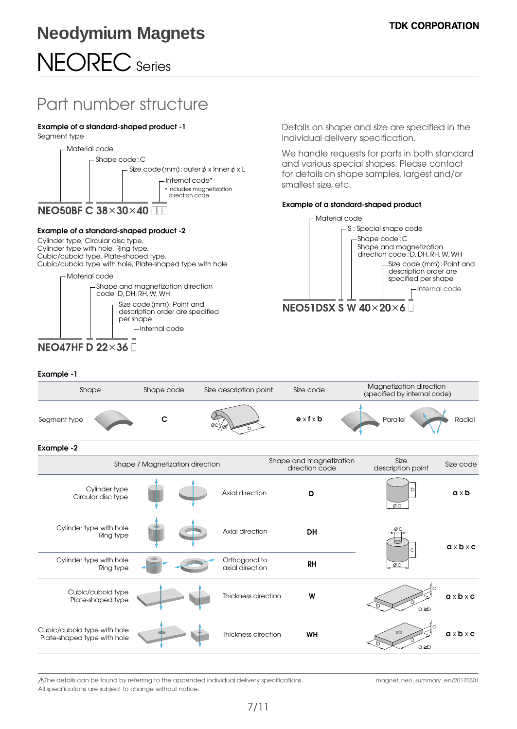### Part number structure

#### **Example of a standard-shaped product -1**

Segment type



#### **Example of a standard-shaped product -2**

Cylinder type, Circular disc type, Cylinder type with hole, Ring type, Cubic/cuboid type, Plate-shaped type, Cubic/cuboid type with hole, Plate-shaped type with hole



Details on shape and size are specified in the individual delivery specification.

We handle requests for parts in both standard and various special shapes. Please contact for details on shape samples, largest and/or smallest size, etc.

#### **Example of a standard-shaped product**



#### **Example -1**

| Shape                                                      | Shape code<br>Size description point |                                  | Size code                                 | Magnetization direction<br>(specified by internal code) |                       |
|------------------------------------------------------------|--------------------------------------|----------------------------------|-------------------------------------------|---------------------------------------------------------|-----------------------|
| Segment type                                               | с                                    |                                  | $e \times f \times b$                     | Parallel                                                | Radial                |
| Example -2                                                 |                                      |                                  |                                           |                                                         |                       |
|                                                            | Shape / Magnetization direction      |                                  | Shape and magnetization<br>direction code | Size<br>description point                               | Size code             |
| Cylinder type<br>Circular disc type                        |                                      | Axial direction                  | D                                         | ØQ                                                      | $a \times b$          |
| Cylinder type with hole<br>Ring type                       |                                      | Axial direction                  | <b>DH</b>                                 | øh                                                      | $a \times b \times c$ |
| Cylinder type with hole<br>Ring type                       |                                      | Orthogonal to<br>axial direction | <b>RH</b>                                 | øa                                                      |                       |
| Cubic/cuboid type<br>Plate-shaped type                     |                                      | Thickness direction              | W                                         | $a \geq b$                                              | $a \times b \times c$ |
| Cubic/cuboid type with hole<br>Plate-shaped type with hole |                                      | Thickness direction              | WH                                        | $a \geq b$                                              | $a \times b \times c$ |
|                                                            |                                      |                                  |                                           |                                                         |                       |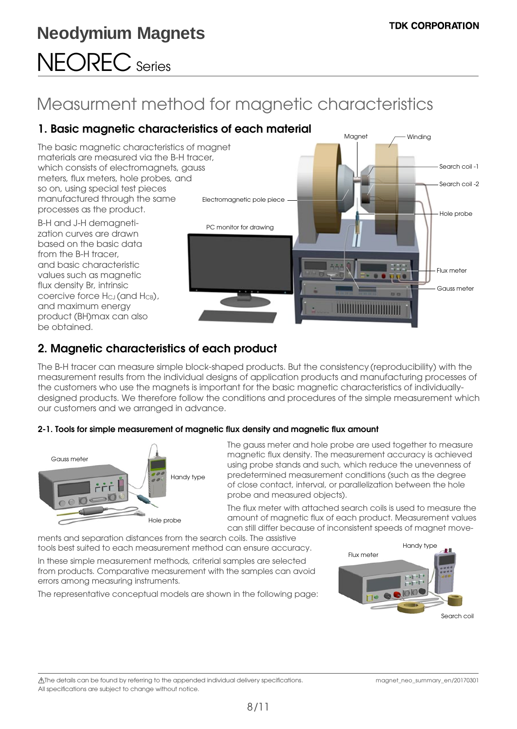## Measurment method for magnetic characteristics

### **1. Basic magnetic characteristics of each material**

The basic magnetic characteristics of magnet materials are measured via the B-H tracer, which consists of electromagnets, gauss meters, flux meters, hole probes, and so on, using special test pieces manufactured through the same processes as the product.

B-H and J-H demagnetization curves are drawn based on the basic data from the B-H tracer, and basic characteristic values such as magnetic flux density Br, intrinsic coercive force H<sub>CJ</sub> (and H<sub>CB</sub>), and maximum energy product (BH)max can also be obtained.



### **2. Magnetic characteristics of each product**

The B-H tracer can measure simple block-shaped products. But the consistency (reproducibility) with the measurement results from the individual designs of application products and manufacturing processes of the customers who use the magnets is important for the basic magnetic characteristics of individuallydesigned products. We therefore follow the conditions and procedures of the simple measurement which our customers and we arranged in advance.

#### **2-1. Tools for simple measurement of magnetic flux density and magnetic flux amount**



 The gauss meter and hole probe are used together to measure magnetic flux density. The measurement accuracy is achieved using probe stands and such, which reduce the unevenness of predetermined measurement conditions (such as the degree of close contact, interval, or parallelization between the hole probe and measured objects).

 The flux meter with attached search coils is used to measure the amount of magnetic flux of each product. Measurement values can still differ because of inconsistent speeds of magnet move-

ments and separation distances from the search coils. The assistive tools best suited to each measurement method can ensure accuracy.

In these simple measurement methods, criterial samples are selected from products. Comparative measurement with the samples can avoid errors among measuring instruments.

The representative conceptual models are shown in the following page:

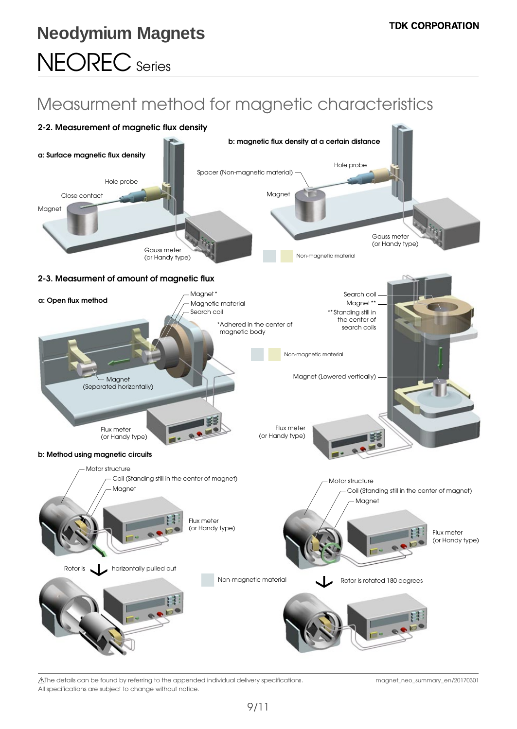## Measurment method for magnetic characteristics



 The details can be found by referring to the appended individual delivery specifications. All specifications are subject to change without notice.

magnet\_neo\_summary\_en/20170301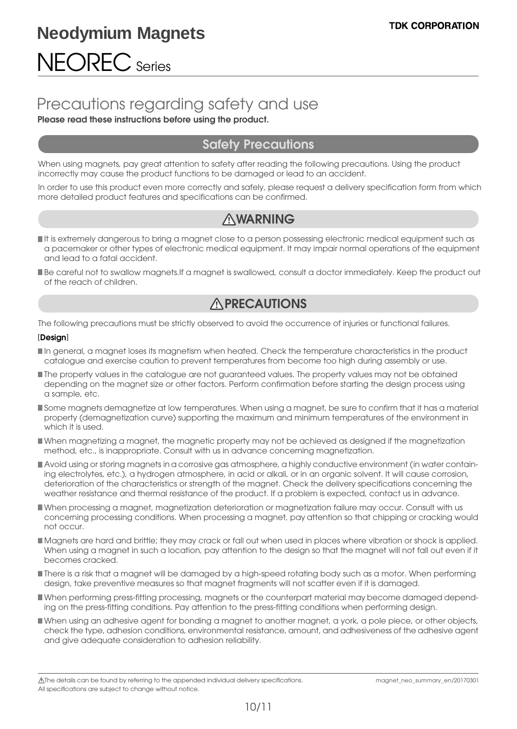### Precautions regarding safety and use

#### **Please read these instructions before using the product.**

### **Safety Precautions**

When using magnets, pay great attention to safety after reading the following precautions. Using the product incorrectly may cause the product functions to be damaged or lead to an accident.

In order to use this product even more correctly and safely, please request a delivery specification form from which more detailed product features and specifications can be confirmed.

### **WARNING**

- It is extremely dangerous to bring a magnet close to a person possessing electronic medical equipment such as a pacemaker or other types of electronic medical equipment. It may impair normal operations of the equipment and lead to a fatal accident.
- Be careful not to swallow magnets.If a magnet is swallowed, consult a doctor immediately. Keep the product out of the reach of children.

### **APRECAUTIONS**

The following precautions must be strictly observed to avoid the occurrence of injuries or functional failures.

#### [**Design**] [**Design**]

- In general, a magnet loses its magnetism when heated. Check the temperature characteristics in the product catalogue and exercise caution to prevent temperatures from become too high during assembly or use.
- The property values in the catalogue are not guaranteed values. The property values may not be obtained depending on the magnet size or other factors. Perform confirmation before starting the design process using a sample, etc.
- Some magnets demagnetize at low temperatures. When using a magnet, be sure to confirm that it has a material property (demagnetization curve) supporting the maximum and minimum temperatures of the environment in which it is used.
- When magnetizing a magnet, the magnetic property may not be achieved as designed if the magnetization method, etc., is inappropriate. Consult with us in advance concerning magnetization.
- Avoid using or storing magnets in a corrosive gas atmosphere, a highly conductive environment (in water containing electrolytes, etc.), a hydrogen atmosphere, in acid or alkali, or in an organic solvent. It will cause corrosion, deterioration of the characteristics or strength of the magnet. Check the delivery specifications concerning the weather resistance and thermal resistance of the product. If a problem is expected, contact us in advance.
- When processing a magnet, magnetization deterioration or magnetization failure may occur. Consult with us concerning processing conditions. When processing a magnet, pay attention so that chipping or cracking would not occur.
- Magnets are hard and brittle; they may crack or fall out when used in places where vibration or shock is applied. When using a magnet in such a location, pay attention to the design so that the magnet will not fall out even if it becomes cracked.
- There is a risk that a magnet will be damaged by a high-speed rotating body such as a motor. When performing design, take preventive measures so that magnet fragments will not scatter even if it is damaged.
- When performing press-fitting processing, magnets or the counterpart material may become damaged depending on the press-fitting conditions. Pay attention to the press-fitting conditions when performing design.
- When using an adhesive agent for bonding a magnet to another magnet, a york, a pole piece, or other objects, check the type, adhesion conditions, environmental resistance, amount, and adhesiveness of the adhesive agent and give adequate consideration to adhesion reliability.

The details can be found by referring to the appended individual delivery specifications. magnet\_neo\_summary\_en/20170301 All specifications are subject to change without notice.